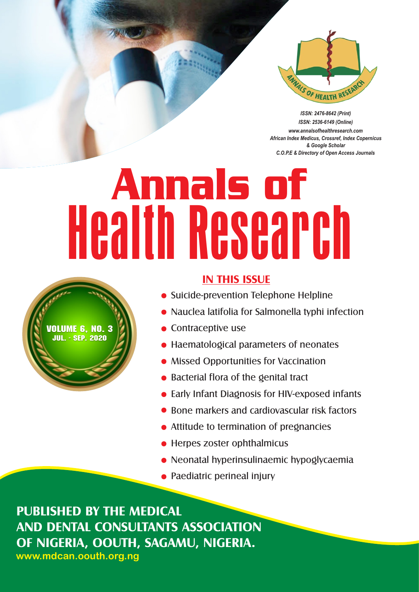

*ISSN: 2476-8642 (Print) ISSN: 2536-6149 (Online) www.annalsofhealthresearch.com African Index Medicus, Crossref, Index Copernicus & Google Scholar C.O.P.E & Directory of Open Access Journals*

# Annals of Health Research



## **IN THIS ISSUE**

- **Suicide-prevention Telephone Helpline**
- Nauclea latifolia for Salmonella typhi infection
- $\bullet$  Contraceptive use
- Haematological parameters of neonates
- Missed Opportunities for Vaccination
- Bacterial flora of the genital tract
- Early Infant Diagnosis for HIV-exposed infants
- Bone markers and cardiovascular risk factors
- Attitude to termination of pregnancies
- Herpes zoster ophthalmicus
- **Neonatal hyperinsulinaemic hypoglycaemia**
- Paediatric perineal injury

**PUBLISHED BY THE MEDICAL AND DENTAL CONSULTANTS ASSOCIATION OF NIGERIA, OOUTH, SAGAMU, NIGERIA. www.mdcan.oouth.org.ng**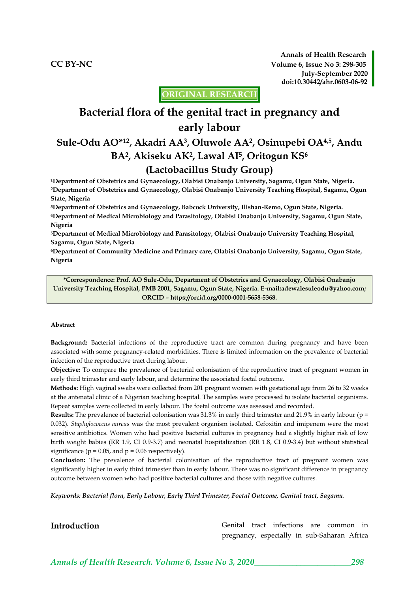**Annals of Health Research CC BY-NC Volume 6, Issue No 3: 298-305 July-September 2020 doi:10.30442/ahr.0603-06-92**

**ORIGINAL RESEARCH**

# **Bacterial flora of the genital tract in pregnancy and early labour**

# **Sule-Odu AO\*12, Akadri AA<sup>3</sup> , Oluwole AA<sup>2</sup> , Osinupebi OA4,5, Andu BA<sup>2</sup> , Akiseku AK<sup>2</sup> , Lawal AI<sup>5</sup> , Oritogun KS<sup>6</sup> (Lactobacillus Study Group)**

**<sup>1</sup>Department of Obstetrics and Gynaecology, Olabisi Onabanjo University, Sagamu, Ogun State, Nigeria. <sup>2</sup>Department of Obstetrics and Gynaecology, Olabisi Onabanjo University Teaching Hospital, Sagamu, Ogun State, Nigeria**

**<sup>3</sup>Department of Obstetrics and Gynaecology, Babcock University, Ilishan-Remo, Ogun State, Nigeria. <sup>4</sup>Department of Medical Microbiology and Parasitology, Olabisi Onabanjo University, Sagamu, Ogun State, Nigeria**

**<sup>5</sup>Department of Medical Microbiology and Parasitology, Olabisi Onabanjo University Teaching Hospital, Sagamu, Ogun State, Nigeria**

**<sup>6</sup>Department of Community Medicine and Primary care, Olabisi Onabanjo University, Sagamu, Ogun State, Nigeria**

**\*Correspondence: Prof. AO Sule-Odu, Department of Obstetrics and Gynaecology, Olabisi Onabanjo University Teaching Hospital, PMB 2001, Sagamu, Ogun State, Nigeria. E-mai[l:adewalesuleodu@yahoo.com;](mailto:adewalesuleodu@yahoo.com) ORCID – https://orcid.org/0000-0001-5658-5368.**

#### **Abstract**

**Background:** Bacterial infections of the reproductive tract are common during pregnancy and have been associated with some pregnancy-related morbidities. There is limited information on the prevalence of bacterial infection of the reproductive tract during labour.

**Objective:** To compare the prevalence of bacterial colonisation of the reproductive tract of pregnant women in early third trimester and early labour, and determine the associated foetal outcome.

**Methods:** High vaginal swabs were collected from 201 pregnant women with gestational age from 26 to 32 weeks at the antenatal clinic of a Nigerian teaching hospital. The samples were processed to isolate bacterial organisms. Repeat samples were collected in early labour. The foetal outcome was assessed and recorded.

**Results:** The prevalence of bacterial colonisation was 31.3% in early third trimester and 21.9% in early labour (p = 0.032). *Staphylococcus aureus* was the most prevalent organism isolated. Cefoxitin and imipenem were the most sensitive antibiotics. Women who had positive bacterial cultures in pregnancy had a slightly higher risk of low birth weight babies (RR 1.9, CI 0.9-3.7) and neonatal hospitalization (RR 1.8, CI 0.9-3.4) but without statistical significance ( $p = 0.05$ , and  $p = 0.06$  respectively).

**Conclusion:** The prevalence of bacterial colonisation of the reproductive tract of pregnant women was significantly higher in early third trimester than in early labour. There was no significant difference in pregnancy outcome between women who had positive bacterial cultures and those with negative cultures.

*Keywords: Bacterial flora, Early Labour, Early Third Trimester, Foetal Outcome, Genital tract, Sagamu.*

**Introduction Genital** tract infections are common in pregnancy, especially in sub-Saharan Africa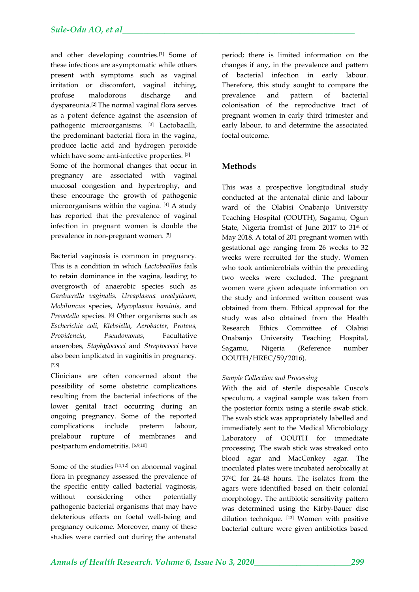and other developing countries.[1] Some of these infections are asymptomatic while others present with symptoms such as vaginal irritation or discomfort, vaginal itching, profuse malodorous discharge and dyspareunia.[2] The normal vaginal flora serves as a potent defence against the ascension of pathogenic microorganisms. [3] Lactobacilli, the predominant bacterial flora in the vagina, produce lactic acid and hydrogen peroxide which have some anti-infective properties. [3] Some of the hormonal changes that occur in pregnancy are associated with vaginal mucosal congestion and hypertrophy, and these encourage the growth of pathogenic microorganisms within the vagina. [4] A study has reported that the prevalence of vaginal infection in pregnant women is double the prevalence in non-pregnant women. [5]

Bacterial vaginosis is common in pregnancy. This is a condition in which *Lactobacillus* fails to retain dominance in the vagina, leading to overgrowth of anaerobic species such as *Gardnerella vaginalis, Ureaplasma urealyticum, Mobiluncus* species, *Mycoplasma hominis*, and *Prevotella* species. [6] Other organisms such as *Escherichia coli, Klebsiella, Aerobacter, Proteus, Providencia*, *Pseudomonas*, Facultative anaerobes*, Staphylococci* and *Streptococci* have also been implicated in vaginitis in pregnancy. [7,8]

Clinicians are often concerned about the possibility of some obstetric complications resulting from the bacterial infections of the lower genital tract occurring during an ongoing pregnancy. Some of the reported complications include preterm labour, prelabour rupture of membranes and postpartum endometritis. [6,9,10]

Some of the studies [11,12] on abnormal vaginal flora in pregnancy assessed the prevalence of the specific entity called bacterial vaginosis, without considering other potentially pathogenic bacterial organisms that may have deleterious effects on foetal well-being and pregnancy outcome. Moreover, many of these studies were carried out during the antenatal

period; there is limited information on the changes if any, in the prevalence and pattern of bacterial infection in early labour. Therefore, this study sought to compare the prevalence and pattern of bacterial colonisation of the reproductive tract of pregnant women in early third trimester and early labour, to and determine the associated foetal outcome.

### **Methods**

This was a prospective longitudinal study conducted at the antenatal clinic and labour ward of the Olabisi Onabanjo University Teaching Hospital (OOUTH), Sagamu, Ogun State, Nigeria from1st of June 2017 to 31st of May 2018. A total of 201 pregnant women with gestational age ranging from 26 weeks to 32 weeks were recruited for the study. Women who took antimicrobials within the preceding two weeks were excluded. The pregnant women were given adequate information on the study and informed written consent was obtained from them. Ethical approval for the study was also obtained from the Health Research Ethics Committee of Olabisi Onabanjo University Teaching Hospital, Sagamu, Nigeria (Reference number OOUTH/HREC/59/2016).

#### *Sample Collection and Processing*

With the aid of sterile disposable Cusco's speculum, a vaginal sample was taken from the posterior fornix using a sterile swab stick. The swab stick was appropriately labelled and immediately sent to the Medical Microbiology Laboratory of OOUTH for immediate processing. The swab stick was streaked onto blood agar and MacConkey agar. The inoculated plates were incubated aerobically at 37oC for 24-48 hours. The isolates from the agars were identified based on their colonial morphology. The antibiotic sensitivity pattern was determined using the Kirby-Bauer disc dilution technique. [13] Women with positive bacterial culture were given antibiotics based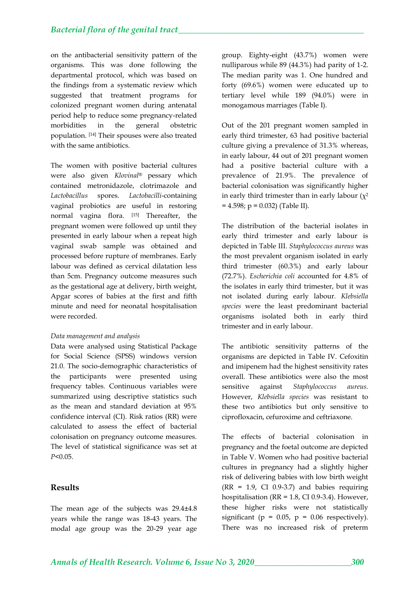on the antibacterial sensitivity pattern of the organisms. This was done following the departmental protocol, which was based on the findings from a systematic review which suggested that treatment programs for colonized pregnant women during antenatal period help to reduce some pregnancy-related morbidities in the general obstetric population. [14] Their spouses were also treated with the same antibiotics.

The women with positive bacterial cultures were also given *Klovinal*® pessary which contained metronidazole, clotrimazole and *Lactobacillus* spores. *Lactobacilli*-containing vaginal probiotics are useful in restoring normal vagina flora. [15] Thereafter, the pregnant women were followed up until they presented in early labour when a repeat high vaginal swab sample was obtained and processed before rupture of membranes. Early labour was defined as cervical dilatation less than 5cm. Pregnancy outcome measures such as the gestational age at delivery, birth weight, Apgar scores of babies at the first and fifth minute and need for neonatal hospitalisation were recorded.

#### *Data management and analysis*

Data were analysed using Statistical Package for Social Science (SPSS) windows version 21.0. The socio-demographic characteristics of the participants were presented using frequency tables. Continuous variables were summarized using descriptive statistics such as the mean and standard deviation at 95% confidence interval (CI). Risk ratios (RR) were calculated to assess the effect of bacterial colonisation on pregnancy outcome measures. The level of statistical significance was set at *P*<0.05.

#### **Results**

The mean age of the subjects was 29.4±4.8 years while the range was 18-43 years. The modal age group was the 20-29 year age

group. Eighty-eight (43.7%) women were nulliparous while 89 (44.3%) had parity of 1-2. The median parity was 1. One hundred and forty (69.6%) women were educated up to tertiary level while 189 (94.0%) were in monogamous marriages (Table I).

Out of the 201 pregnant women sampled in early third trimester, 63 had positive bacterial culture giving a prevalence of 31.3% whereas, in early labour, 44 out of 201 pregnant women had a positive bacterial culture with a prevalence of 21.9%. The prevalence of bacterial colonisation was significantly higher in early third trimester than in early labour  $(\chi^2)$  $= 4.598$ ; p = 0.032) (Table II).

The distribution of the bacterial isolates in early third trimester and early labour is depicted in Table III. *Staphylococcus aureus* was the most prevalent organism isolated in early third trimester (60.3%) and early labour (72.7%). *Escherichia coli* accounted for 4.8% of the isolates in early third trimester, but it was not isolated during early labour*. Klebsiella species* were the least predominant bacterial organisms isolated both in early third trimester and in early labour.

The antibiotic sensitivity patterns of the organisms are depicted in Table IV. Cefoxitin and imipenem had the highest sensitivity rates overall. These antibiotics were also the most sensitive against *Staphylococcus aureus.*  However, *Klebsiella species* was resistant to these two antibiotics but only sensitive to ciprofloxacin, cefuroxime and ceftriaxone.

The effects of bacterial colonisation in pregnancy and the foetal outcome are depicted in Table V. Women who had positive bacterial cultures in pregnancy had a slightly higher risk of delivering babies with low birth weight  $(RR = 1.9, CI 0.9-3.7)$  and babies requiring hospitalisation (RR = 1.8, CI 0.9-3.4). However, these higher risks were not statistically significant ( $p = 0.05$ ,  $p = 0.06$  respectively). There was no increased risk of preterm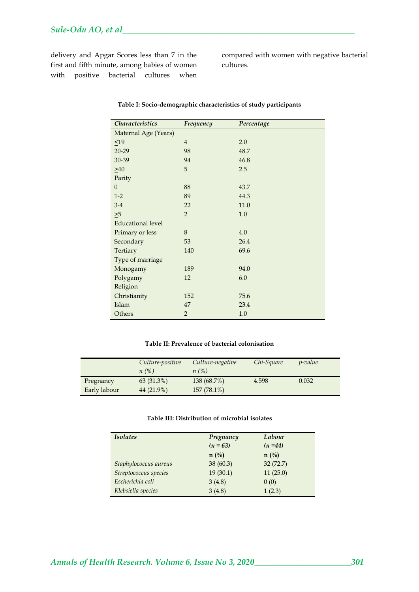delivery and Apgar Scores less than 7 in the first and fifth minute, among babies of women with positive bacterial cultures when

compared with women with negative bacterial cultures.

| <b>Characteristics</b>   | Frequency      | Percentage |
|--------------------------|----------------|------------|
| Maternal Age (Years)     |                |            |
| $\leq 19$                | $\overline{4}$ | 2.0        |
| $20 - 29$                | 98             | 48.7       |
| 30-39                    | 94             | 46.8       |
| $\geq 40$                | 5              | 2.5        |
| Parity                   |                |            |
| $\theta$                 | 88             | 43.7       |
| $1-2$                    | 89             | 44.3       |
| $3-4$                    | 22             | 11.0       |
| $\geq 5$                 | $\overline{2}$ | 1.0        |
| <b>Educational level</b> |                |            |
| Primary or less          | 8              | 4.0        |
| Secondary                | 53             | 26.4       |
| Tertiary                 | 140            | 69.6       |
| Type of marriage         |                |            |
| Monogamy                 | 189            | 94.0       |
| Polygamy                 | 12             | 6.0        |
| Religion                 |                |            |
| Christianity             | 152            | 75.6       |
| Islam                    | 47             | 23.4       |
| Others                   | $\overline{2}$ | 1.0        |

#### **Table I: Socio-demographic characteristics of study participants**

#### **Table II: Prevalence of bacterial colonisation**

|              | Culture-positive<br>$n(\%)$ | Culture-negative<br>n(%) | Chi-Square | <i>p</i> -value |
|--------------|-----------------------------|--------------------------|------------|-----------------|
| Pregnancy    | 63 (31.3%)                  | 138 (68.7%)              | 4.598      | 0.032           |
| Early labour | 44 (21.9%)                  | 157 (78.1%)              |            |                 |

#### **Table III: Distribution of microbial isolates**

| <b>Isolates</b>       | Pregnancy     | Labour         |  |
|-----------------------|---------------|----------------|--|
|                       | $(n = 63)$    | $(n=44)$       |  |
|                       | $n(^{0}_{0})$ | $n(^{0}/_{0})$ |  |
| Staphylococcus aureus | 38 (60.3)     | 32(72.7)       |  |
| Streptococcus species | 19(30.1)      | 11(25.0)       |  |
| Escherichia coli      | 3(4.8)        | 0(0)           |  |
| Klebsiella species    | 3(4.8)        | 1(2.3)         |  |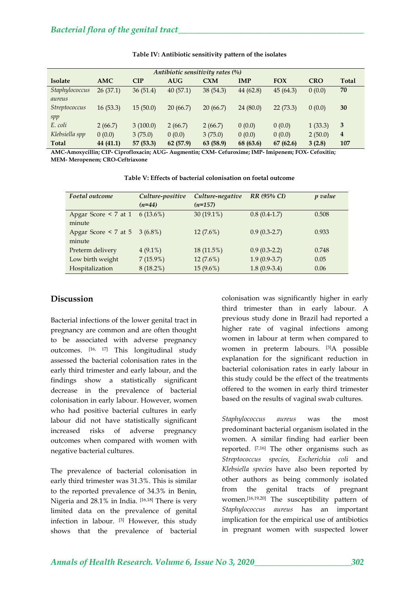| Antibiotic sensitivity rates (%) |            |           |            |            |             |            |            |                         |
|----------------------------------|------------|-----------|------------|------------|-------------|------------|------------|-------------------------|
| <b>Isolate</b>                   | <b>AMC</b> | CIP       | <b>AUG</b> | <b>CXM</b> | <b>IMP</b>  | <b>FOX</b> | <b>CRO</b> | <b>Total</b>            |
| Staphylococcus<br>aureus         | 26(37.1)   | 36(51.4)  | 40(57.1)   | 38(54.3)   | 44 $(62.8)$ | 45(64.3)   | 0(0.0)     | 70                      |
| <i>Streptococcus</i><br>spp      | 16(53.3)   | 15(50.0)  | 20(66.7)   | 20(66.7)   | 24(80.0)    | 22(73.3)   | 0(0.0)     | 30                      |
| E. coli                          | 2(66.7)    | 3(100.0)  | 2(66.7)    | 2(66.7)    | 0(0.0)      | 0(0.0)     | 1(33.3)    | 3                       |
| Klebsiella spp                   | 0(0.0)     | 3(75.0)   | 0(0.0)     | 3(75.0)    | 0(0.0)      | 0(0.0)     | 2(50.0)    | $\overline{\mathbf{4}}$ |
| Total                            | 44 (41.1)  | 57 (53.3) | 62 (57.9)  | 63 (58.9)  | 68 (63.6)   | 67(62.6)   | 3(2.8)     | 107                     |

#### **Table IV: Antibiotic sensitivity pattern of the isolates**

**AMC-Amoxycillin; CIP- Ciprofloxacin; AUG- Augmentin; CXM- Cefuroxime; IMP- Imipenem; FOX- Cefoxitin; MEM- Meropenem; CRO-Ceftriaxone**

| Foetal outcome            | Culture-positive | Culture-negative | RR (95% CI)    | p value |  |
|---------------------------|------------------|------------------|----------------|---------|--|
|                           | $(n=44)$         | $(n=157)$        |                |         |  |
| Apgar Score $\leq 7$ at 1 | $6(13.6\%)$      | 30 $(19.1\%)$    | $0.8(0.4-1.7)$ | 0.508   |  |
| minute                    |                  |                  |                |         |  |
| Apgar Score $\leq 7$ at 5 | $3(6.8\%)$       | $12(7.6\%)$      | $0.9(0.3-2.7)$ | 0.933   |  |
| minute                    |                  |                  |                |         |  |
| Preterm delivery          | $4(9.1\%)$       | 18 (11.5%)       | $0.9(0.3-2.2)$ | 0.748   |  |
| Low birth weight          | $7(15.9\%)$      | $12(7.6\%)$      | $1.9(0.9-3.7)$ | 0.05    |  |
| Hospitalization           | $8(18.2\%)$      | $15(9.6\%)$      | $1.8(0.9-3.4)$ | 0.06    |  |

**Table V: Effects of bacterial colonisation on foetal outcome**

#### **Discussion**

Bacterial infections of the lower genital tract in pregnancy are common and are often thought to be associated with adverse pregnancy outcomes. [16, 17] This longitudinal study assessed the bacterial colonisation rates in the early third trimester and early labour, and the findings show a statistically significant decrease in the prevalence of bacterial colonisation in early labour. However, women who had positive bacterial cultures in early labour did not have statistically significant increased risks of adverse pregnancy outcomes when compared with women with negative bacterial cultures.

The prevalence of bacterial colonisation in early third trimester was 31.3%. This is similar to the reported prevalence of 34.3% in Benin, Nigeria and 28.1% in India. [16,18] There is very limited data on the prevalence of genital infection in labour. [3] However, this study shows that the prevalence of bacterial

colonisation was significantly higher in early third trimester than in early labour. A previous study done in Brazil had reported a higher rate of vaginal infections among women in labour at term when compared to women in preterm labours. [3]A possible explanation for the significant reduction in bacterial colonisation rates in early labour in this study could be the effect of the treatments offered to the women in early third trimester based on the results of vaginal swab cultures.

*Staphylococcus aureus* was the most predominant bacterial organism isolated in the women. A similar finding had earlier been reported. [7,16] The other organisms such as *Streptococcus species, Escherichia coli* and *Klebsiella species* have also been reported by other authors as being commonly isolated from the genital tracts of pregnant women.[16,19,20] The susceptibility pattern of *Staphylococcus aureus* has an important implication for the empirical use of antibiotics in pregnant women with suspected lower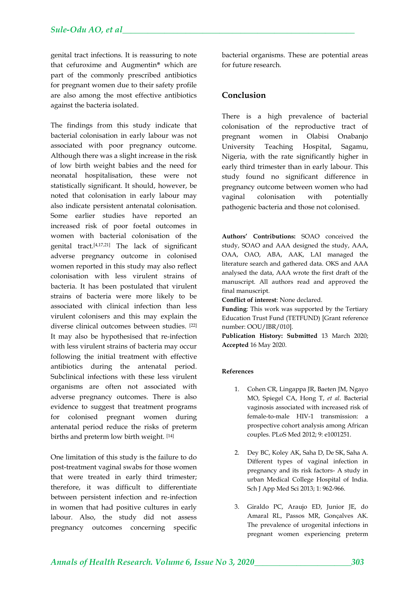genital tract infections. It is reassuring to note that cefuroxime and Augmentin® which are part of the commonly prescribed antibiotics for pregnant women due to their safety profile are also among the most effective antibiotics against the bacteria isolated.

The findings from this study indicate that bacterial colonisation in early labour was not associated with poor pregnancy outcome. Although there was a slight increase in the risk of low birth weight babies and the need for neonatal hospitalisation, these were not statistically significant. It should, however, be noted that colonisation in early labour may also indicate persistent antenatal colonisation. Some earlier studies have reported an increased risk of poor foetal outcomes in women with bacterial colonisation of the genital tract.[4,17,21] The lack of significant adverse pregnancy outcome in colonised women reported in this study may also reflect colonisation with less virulent strains of bacteria. It has been postulated that virulent strains of bacteria were more likely to be associated with clinical infection than less virulent colonisers and this may explain the diverse clinical outcomes between studies. [22] It may also be hypothesised that re-infection with less virulent strains of bacteria may occur following the initial treatment with effective antibiotics during the antenatal period. Subclinical infections with these less virulent organisms are often not associated with adverse pregnancy outcomes. There is also evidence to suggest that treatment programs for colonised pregnant women during antenatal period reduce the risks of preterm births and preterm low birth weight. [14]

One limitation of this study is the failure to do post-treatment vaginal swabs for those women that were treated in early third trimester; therefore, it was difficult to differentiate between persistent infection and re-infection in women that had positive cultures in early labour. Also, the study did not assess pregnancy outcomes concerning specific

bacterial organisms. These are potential areas for future research.

#### **Conclusion**

There is a high prevalence of bacterial colonisation of the reproductive tract of pregnant women in Olabisi Onabanjo University Teaching Hospital, Sagamu, Nigeria, with the rate significantly higher in early third trimester than in early labour. This study found no significant difference in pregnancy outcome between women who had vaginal colonisation with potentially pathogenic bacteria and those not colonised.

**Authors' Contributions:** SOAO conceived the study, SOAO and AAA designed the study, AAA, OAA, OAO, ABA, AAK, LAI managed the literature search and gathered data. OKS and AAA analysed the data, AAA wrote the first draft of the manuscript. All authors read and approved the final manuscript.

**Conflict of interest**: None declared.

**Funding**: This work was supported by the Tertiary Education Trust Fund (TETFUND) [Grant reference number: OOU/IBR/010].

**Publication History: Submitted** 13 March 2020; **Accepted** 16 May 2020.

#### **References**

- 1. Cohen CR, Lingappa JR, Baeten JM, Ngayo MO, Spiegel CA, Hong T, *et al*. Bacterial vaginosis associated with increased risk of female-to-male HIV-1 transmission: a prospective cohort analysis among African couples. PLoS Med 2012; 9: e1001251.
- 2. Dey BC, Koley AK, Saha D, De SK, Saha A. Different types of vaginal infection in pregnancy and its risk factors- A study in urban Medical College Hospital of India. Sch J App Med Sci 2013; 1: 962-966.
- 3. Giraldo PC, Araujo ED, Junior JE, do Amaral RL, Passos MR, Gonçalves AK. The prevalence of urogenital infections in pregnant women experiencing preterm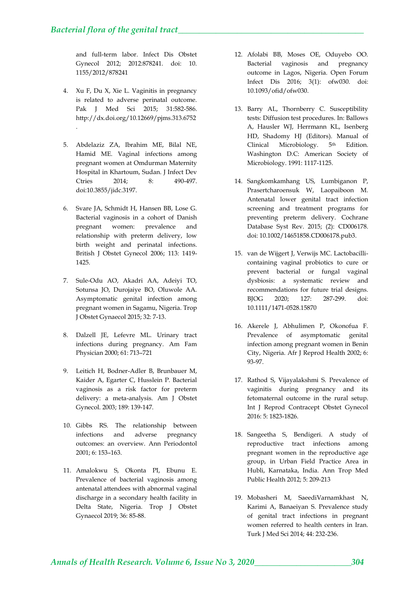.

and full-term labor. Infect Dis Obstet Gynecol 2012; 2012:878241. doi: 10. 1155/2012/878241

- 4. Xu F, Du X, Xie L. Vaginitis in pregnancy is related to adverse perinatal outcome. Pak J Med Sci 2015; 31:582-586. <http://dx.doi.org/10.12669/pjms.313.6752>
- 5. Abdelaziz ZA, Ibrahim ME, Bilal NE, Hamid ME. Vaginal infections among pregnant women at Omdurman Maternity Hospital in Khartoum, Sudan. J Infect Dev Ctries 2014; 8: 490-497. doi:10.3855/jidc.3197.
- 6. Svare JA, Schmidt H, Hansen BB, Lose G. Bacterial vaginosis in a cohort of Danish pregnant women: prevalence and relationship with preterm delivery, low birth weight and perinatal infections. British J Obstet Gynecol 2006; 113: 1419- 1425.
- 7. Sule-Odu AO, Akadri AA, Adeiyi TO, Sotunsa JO, Durojaiye BO, Oluwole AA. Asymptomatic genital infection among pregnant women in Sagamu, Nigeria. Trop J Obstet Gynaecol 2015; 32: 7-13.
- 8. Dalzell JE, Lefevre ML. Urinary tract infections during pregnancy. Am Fam Physician 2000; 61: 713–721
- 9. Leitich H, Bodner-Adler B, Brunbauer M, Kaider A, Egarter C, Husslein P. Bacterial vaginosis as a risk factor for preterm delivery: a meta-analysis. Am J Obstet Gynecol. 2003; 189: 139-147.
- 10. Gibbs RS. The relationship between infections and adverse pregnancy outcomes: an overview. Ann Periodontol 2001; 6: 153–163.
- 11. Amalokwu S, Okonta PI, Ebunu E. Prevalence of bacterial vaginosis among antenatal attendees with abnormal vaginal discharge in a secondary health facility in Delta State, Nigeria. Trop J Obstet Gynaecol 2019; 36: 85-88.
- 12. Afolabi BB, Moses OE, Oduyebo OO. Bacterial vaginosis and pregnancy outcome in Lagos, Nigeria. Open Forum Infect Dis 2016; 3(1): ofw030. doi: 10.1093/ofid/ofw030.
- 13. Barry AL, Thornberry C. Susceptibility tests: Diffusion test procedures. In: Ballows A, Hausler WJ, Herrmann KL, Isenberg HD, Shadomy HJ (Editors). Manual of Clinical Microbiology. 5th Edition. Washington D.C: American Society of Microbiology. 1991: 1117-1125.
- 14. Sangkomkamhang US, Lumbiganon P, Prasertcharoensuk W, Laopaiboon M. Antenatal lower genital tract infection screening and treatment programs for preventing preterm delivery. Cochrane Database Syst Rev. 2015; (2): CD006178. doi: 10.1002/14651858.CD006178.pub3.
- 15. van de Wijgert J, Verwijs MC. Lactobacillicontaining vaginal probiotics to cure or prevent bacterial or fungal vaginal dysbiosis: a systematic review and recommendations for future trial designs. BJOG 2020; 127: 287-299. doi: 10.1111/1471-0528.15870
- 16. Akerele J, Abhulimen P, Okonofua F. Prevalence of asymptomatic genital infection among pregnant women in Benin City, Nigeria. Afr J Reprod Health 2002; 6: 93-97.
- 17. Rathod S, Vijayalakshmi S. Prevalence of vaginitis during pregnancy and its fetomaternal outcome in the rural setup. Int J Reprod Contracept Obstet Gynecol 2016: 5: 1823-1826.
- 18. Sangeetha S, Bendigeri. A study of reproductive tract infections among pregnant women in the reproductive age group, in Urban Field Practice Area in Hubli, Karnataka, India. Ann Trop Med Public Health 2012; 5: 209-213
- 19. Mobasheri M, SaeediVarnamkhast N, Karimi A, Banaeiyan S. Prevalence study of genital tract infections in pregnant women referred to health centers in Iran. Turk J Med Sci 2014; 44: 232-236.